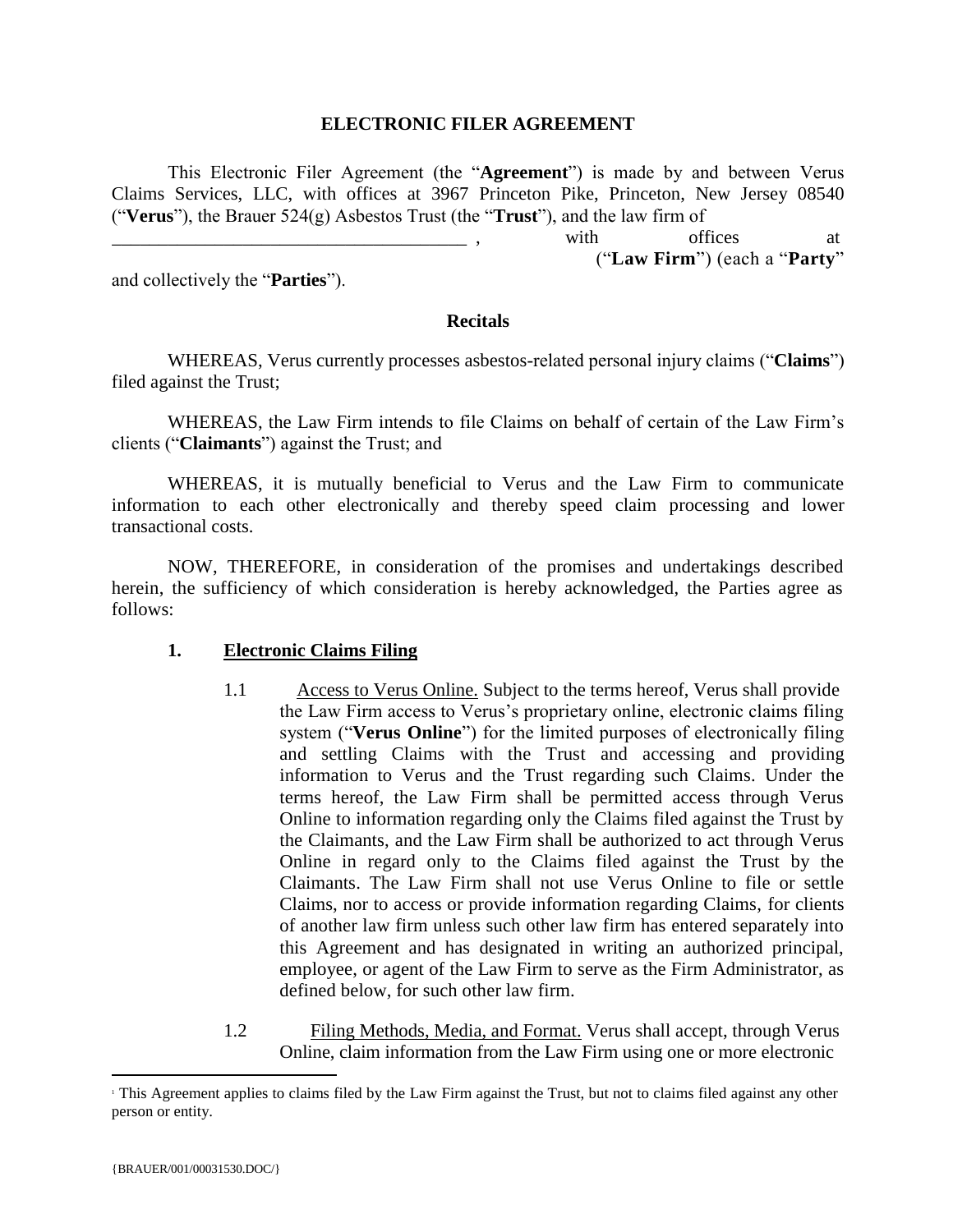#### **ELECTRONIC FILER AGREEMENT**

This Electronic Filer Agreement (the "**Agreement**") is made by and between Verus Claims Services, LLC, with offices at 3967 Princeton Pike, Princeton, New Jersey 08540 ("**Verus**"), the Brauer 524(g) Asbestos Trust (the "**Trust**"), and the law firm of

\_\_\_\_\_\_\_\_\_\_\_\_\_\_\_\_\_\_\_\_\_\_\_\_\_\_\_\_\_\_\_\_\_\_\_\_\_\_ , with offices at ("**Law Firm**") (each a "**Party**"

and collectively the "**Parties**").

#### **Recitals**

WHEREAS, Verus currently processes asbestos-related personal injury claims ("**Claims**") filed against the Trust;

WHEREAS, the Law Firm intends to file Claims on behalf of certain of the Law Firm's clients ("**Claimants**") against the Trust; and

WHEREAS, it is mutually beneficial to Verus and the Law Firm to communicate information to each other electronically and thereby speed claim processing and lower transactional costs.

NOW, THEREFORE, in consideration of the promises and undertakings described herein, the sufficiency of which consideration is hereby acknowledged, the Parties agree as follows:

## **1. Electronic Claims Filing**

- 1.1 Access to Verus Online. Subject to the terms hereof, Verus shall provide the Law Firm access to Verus's proprietary online, electronic claims filing system ("**Verus Online**") for the limited purposes of electronically filing and settling Claims with the Trust and accessing and providing information to Verus and the Trust regarding such Claims. Under the terms hereof, the Law Firm shall be permitted access through Verus Online to information regarding only the Claims filed against the Trust by the Claimants, and the Law Firm shall be authorized to act through Verus Online in regard only to the Claims filed against the Trust by the Claimants. The Law Firm shall not use Verus Online to file or settle Claims, nor to access or provide information regarding Claims, for clients of another law firm unless such other law firm has entered separately into this Agreement and has designated in writing an authorized principal, employee, or agent of the Law Firm to serve as the Firm Administrator, as defined below, for such other law firm.
- 1.2 Filing Methods, Media, and Format. Verus shall accept, through Verus Online, claim information from the Law Firm using one or more electronic

<sup>1</sup> This Agreement applies to claims filed by the Law Firm against the Trust, but not to claims filed against any other person or entity.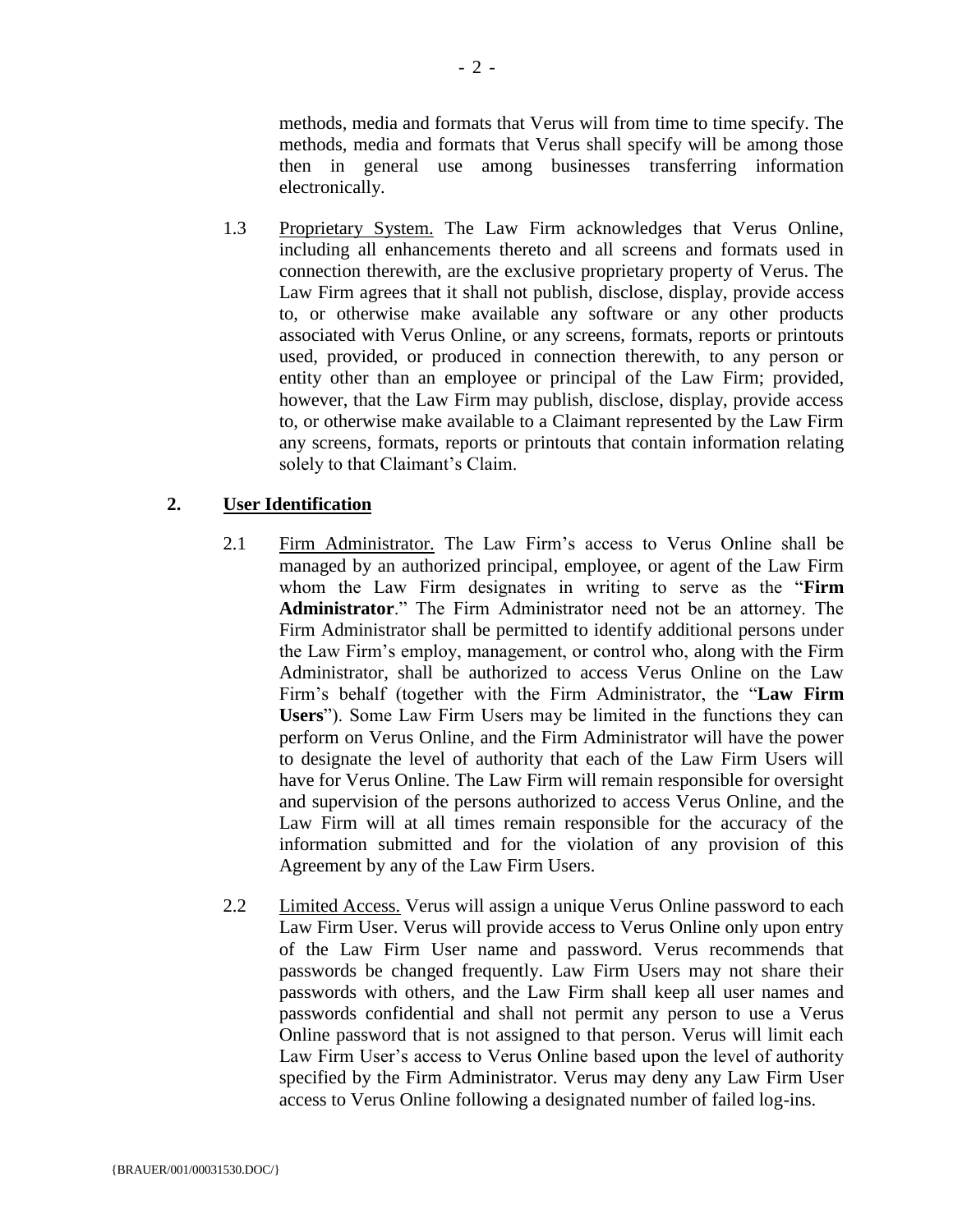methods, media and formats that Verus will from time to time specify. The methods, media and formats that Verus shall specify will be among those then in general use among businesses transferring information electronically.

1.3 Proprietary System. The Law Firm acknowledges that Verus Online, including all enhancements thereto and all screens and formats used in connection therewith, are the exclusive proprietary property of Verus. The Law Firm agrees that it shall not publish, disclose, display, provide access to, or otherwise make available any software or any other products associated with Verus Online, or any screens, formats, reports or printouts used, provided, or produced in connection therewith, to any person or entity other than an employee or principal of the Law Firm; provided, however, that the Law Firm may publish, disclose, display, provide access to, or otherwise make available to a Claimant represented by the Law Firm any screens, formats, reports or printouts that contain information relating solely to that Claimant's Claim.

## **2. User Identification**

- 2.1 Firm Administrator. The Law Firm's access to Verus Online shall be managed by an authorized principal, employee, or agent of the Law Firm whom the Law Firm designates in writing to serve as the "**Firm Administrator**." The Firm Administrator need not be an attorney. The Firm Administrator shall be permitted to identify additional persons under the Law Firm's employ, management, or control who, along with the Firm Administrator, shall be authorized to access Verus Online on the Law Firm's behalf (together with the Firm Administrator, the "**Law Firm Users**"). Some Law Firm Users may be limited in the functions they can perform on Verus Online, and the Firm Administrator will have the power to designate the level of authority that each of the Law Firm Users will have for Verus Online. The Law Firm will remain responsible for oversight and supervision of the persons authorized to access Verus Online, and the Law Firm will at all times remain responsible for the accuracy of the information submitted and for the violation of any provision of this Agreement by any of the Law Firm Users.
- 2.2 Limited Access. Verus will assign a unique Verus Online password to each Law Firm User. Verus will provide access to Verus Online only upon entry of the Law Firm User name and password. Verus recommends that passwords be changed frequently. Law Firm Users may not share their passwords with others, and the Law Firm shall keep all user names and passwords confidential and shall not permit any person to use a Verus Online password that is not assigned to that person. Verus will limit each Law Firm User's access to Verus Online based upon the level of authority specified by the Firm Administrator. Verus may deny any Law Firm User access to Verus Online following a designated number of failed log-ins.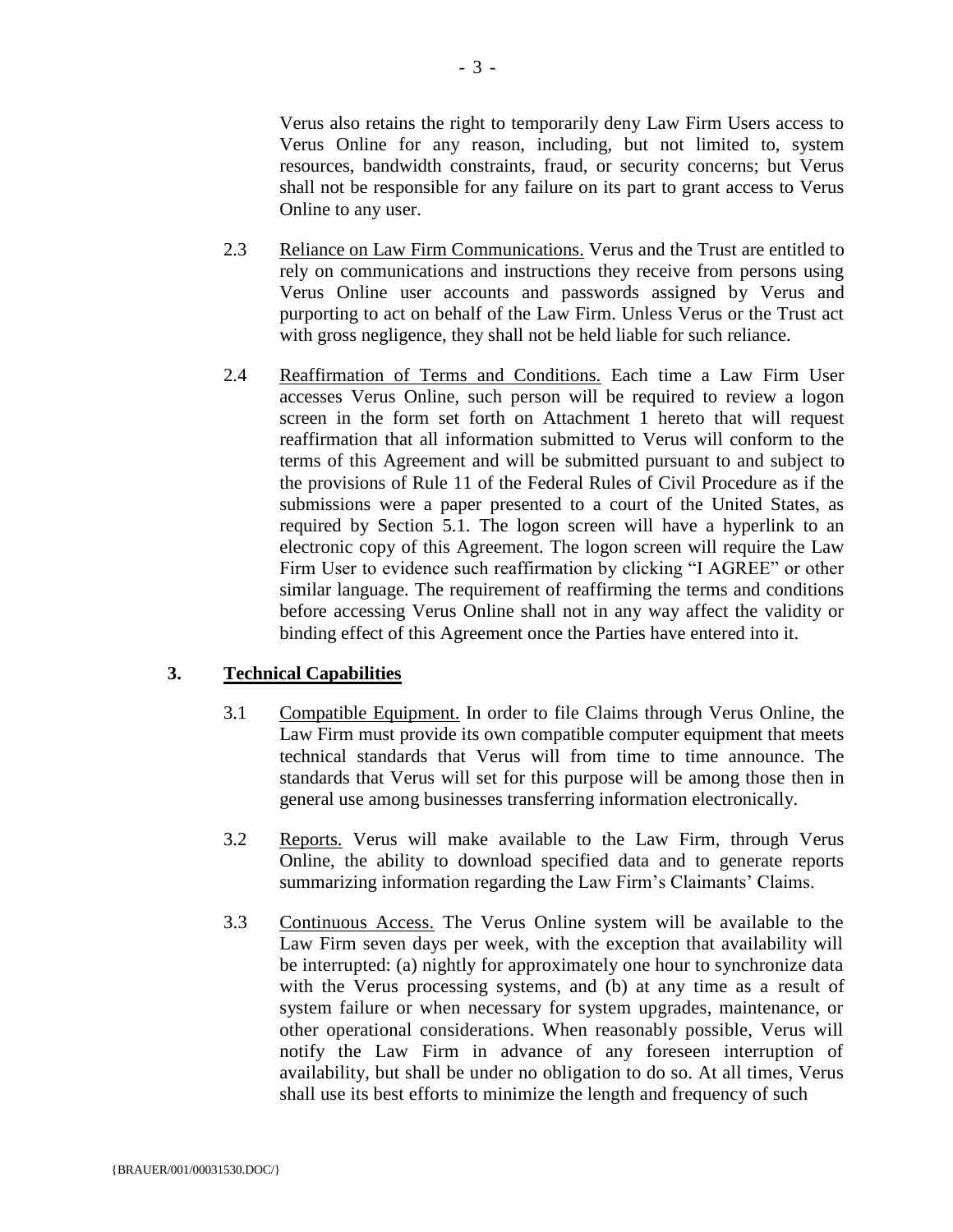Verus also retains the right to temporarily deny Law Firm Users access to Verus Online for any reason, including, but not limited to, system resources, bandwidth constraints, fraud, or security concerns; but Verus shall not be responsible for any failure on its part to grant access to Verus Online to any user.

- 2.3 Reliance on Law Firm Communications. Verus and the Trust are entitled to rely on communications and instructions they receive from persons using Verus Online user accounts and passwords assigned by Verus and purporting to act on behalf of the Law Firm. Unless Verus or the Trust act with gross negligence, they shall not be held liable for such reliance.
- 2.4 Reaffirmation of Terms and Conditions. Each time a Law Firm User accesses Verus Online, such person will be required to review a logon screen in the form set forth on Attachment 1 hereto that will request reaffirmation that all information submitted to Verus will conform to the terms of this Agreement and will be submitted pursuant to and subject to the provisions of Rule 11 of the Federal Rules of Civil Procedure as if the submissions were a paper presented to a court of the United States, as required by Section 5.1. The logon screen will have a hyperlink to an electronic copy of this Agreement. The logon screen will require the Law Firm User to evidence such reaffirmation by clicking "I AGREE" or other similar language. The requirement of reaffirming the terms and conditions before accessing Verus Online shall not in any way affect the validity or binding effect of this Agreement once the Parties have entered into it.

## **3. Technical Capabilities**

- 3.1 Compatible Equipment. In order to file Claims through Verus Online, the Law Firm must provide its own compatible computer equipment that meets technical standards that Verus will from time to time announce. The standards that Verus will set for this purpose will be among those then in general use among businesses transferring information electronically.
- 3.2 Reports. Verus will make available to the Law Firm, through Verus Online, the ability to download specified data and to generate reports summarizing information regarding the Law Firm's Claimants' Claims.
- 3.3 Continuous Access. The Verus Online system will be available to the Law Firm seven days per week, with the exception that availability will be interrupted: (a) nightly for approximately one hour to synchronize data with the Verus processing systems, and (b) at any time as a result of system failure or when necessary for system upgrades, maintenance, or other operational considerations. When reasonably possible, Verus will notify the Law Firm in advance of any foreseen interruption of availability, but shall be under no obligation to do so. At all times, Verus shall use its best efforts to minimize the length and frequency of such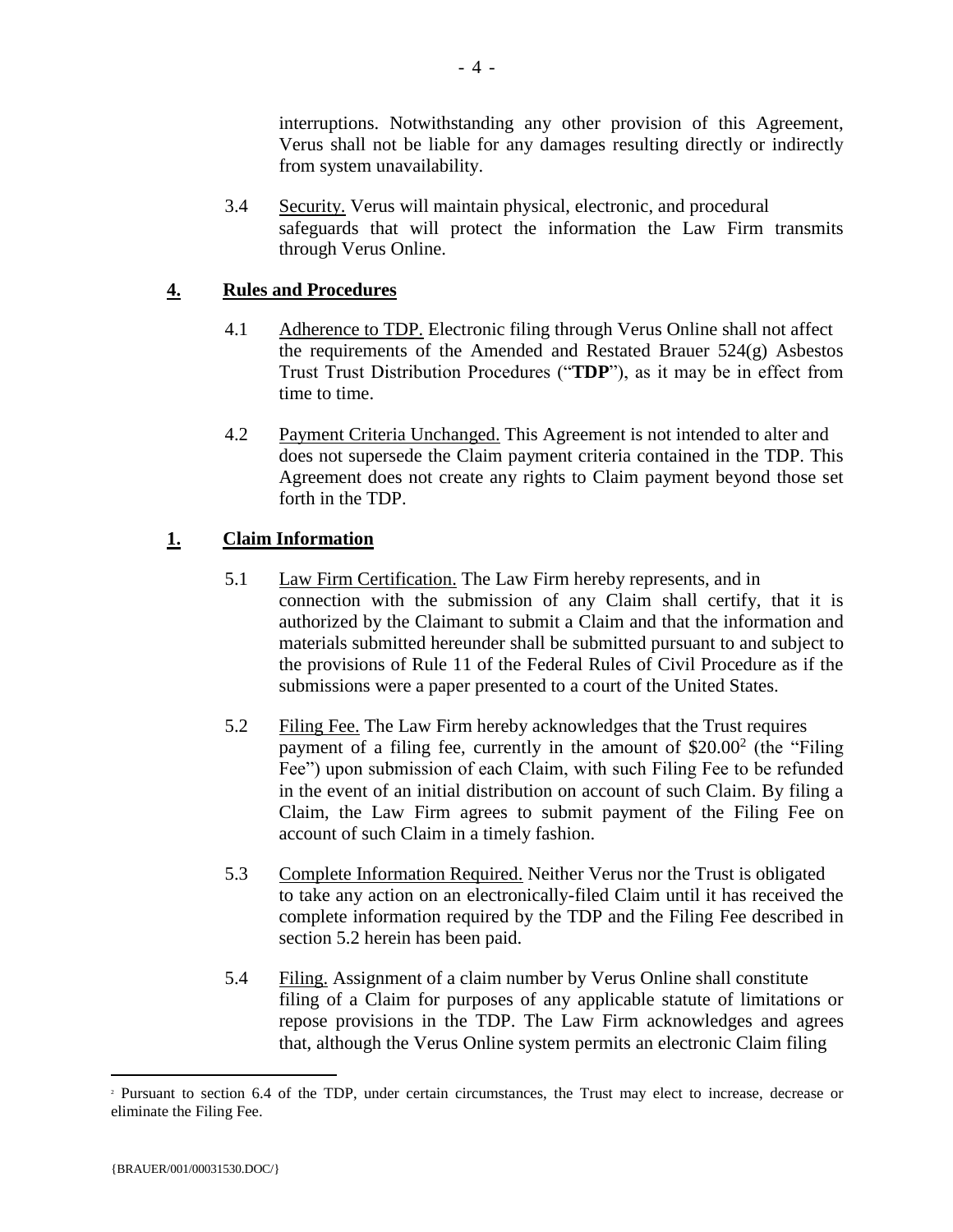interruptions. Notwithstanding any other provision of this Agreement, Verus shall not be liable for any damages resulting directly or indirectly from system unavailability.

3.4 Security. Verus will maintain physical, electronic, and procedural safeguards that will protect the information the Law Firm transmits through Verus Online.

# **4. Rules and Procedures**

- 4.1 Adherence to TDP. Electronic filing through Verus Online shall not affect the requirements of the Amended and Restated Brauer 524(g) Asbestos Trust Trust Distribution Procedures ("**TDP**"), as it may be in effect from time to time.
- 4.2 Payment Criteria Unchanged. This Agreement is not intended to alter and does not supersede the Claim payment criteria contained in the TDP. This Agreement does not create any rights to Claim payment beyond those set forth in the TDP.

# **1. Claim Information**

- 5.1 Law Firm Certification. The Law Firm hereby represents, and in connection with the submission of any Claim shall certify, that it is authorized by the Claimant to submit a Claim and that the information and materials submitted hereunder shall be submitted pursuant to and subject to the provisions of Rule 11 of the Federal Rules of Civil Procedure as if the submissions were a paper presented to a court of the United States.
- 5.2 Filing Fee. The Law Firm hereby acknowledges that the Trust requires payment of a filing fee, currently in the amount of \$20.00<sup>2</sup> (the "Filing Fee") upon submission of each Claim, with such Filing Fee to be refunded in the event of an initial distribution on account of such Claim. By filing a Claim, the Law Firm agrees to submit payment of the Filing Fee on account of such Claim in a timely fashion.
- 5.3 Complete Information Required. Neither Verus nor the Trust is obligated to take any action on an electronically-filed Claim until it has received the complete information required by the TDP and the Filing Fee described in section 5.2 herein has been paid.
- 5.4 Filing. Assignment of a claim number by Verus Online shall constitute filing of a Claim for purposes of any applicable statute of limitations or repose provisions in the TDP. The Law Firm acknowledges and agrees that, although the Verus Online system permits an electronic Claim filing

<sup>2</sup> Pursuant to section 6.4 of the TDP, under certain circumstances, the Trust may elect to increase, decrease or eliminate the Filing Fee.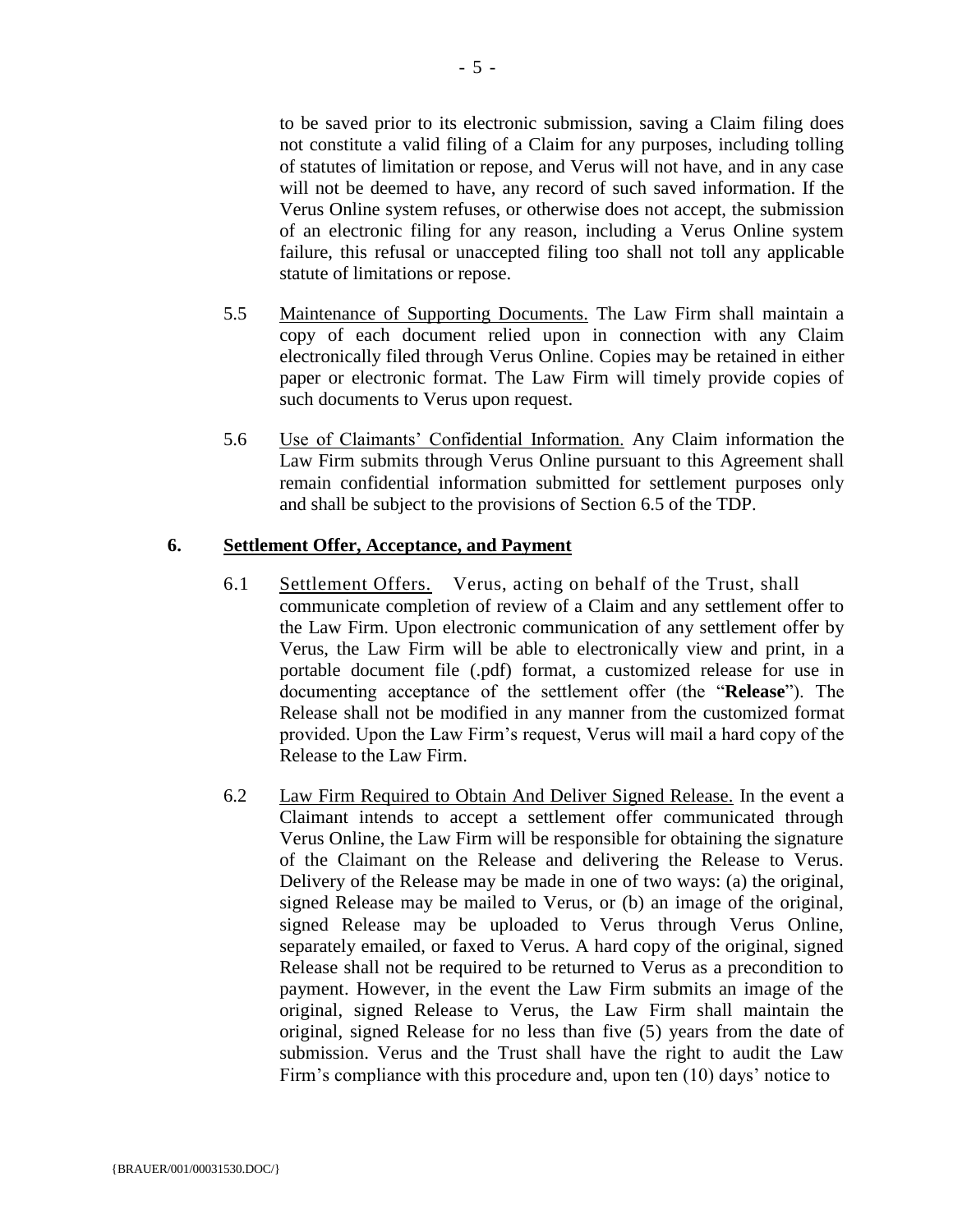to be saved prior to its electronic submission, saving a Claim filing does not constitute a valid filing of a Claim for any purposes, including tolling of statutes of limitation or repose, and Verus will not have, and in any case will not be deemed to have, any record of such saved information. If the Verus Online system refuses, or otherwise does not accept, the submission of an electronic filing for any reason, including a Verus Online system failure, this refusal or unaccepted filing too shall not toll any applicable statute of limitations or repose.

- 5.5 Maintenance of Supporting Documents. The Law Firm shall maintain a copy of each document relied upon in connection with any Claim electronically filed through Verus Online. Copies may be retained in either paper or electronic format. The Law Firm will timely provide copies of such documents to Verus upon request.
- 5.6 Use of Claimants' Confidential Information. Any Claim information the Law Firm submits through Verus Online pursuant to this Agreement shall remain confidential information submitted for settlement purposes only and shall be subject to the provisions of Section 6.5 of the TDP.

#### **6. Settlement Offer, Acceptance, and Payment**

- 6.1 Settlement Offers. Verus, acting on behalf of the Trust, shall communicate completion of review of a Claim and any settlement offer to the Law Firm. Upon electronic communication of any settlement offer by Verus, the Law Firm will be able to electronically view and print, in a portable document file (.pdf) format, a customized release for use in documenting acceptance of the settlement offer (the "**Release**"). The Release shall not be modified in any manner from the customized format provided. Upon the Law Firm's request, Verus will mail a hard copy of the Release to the Law Firm.
- 6.2 Law Firm Required to Obtain And Deliver Signed Release. In the event a Claimant intends to accept a settlement offer communicated through Verus Online, the Law Firm will be responsible for obtaining the signature of the Claimant on the Release and delivering the Release to Verus. Delivery of the Release may be made in one of two ways: (a) the original, signed Release may be mailed to Verus, or (b) an image of the original, signed Release may be uploaded to Verus through Verus Online, separately emailed, or faxed to Verus. A hard copy of the original, signed Release shall not be required to be returned to Verus as a precondition to payment. However, in the event the Law Firm submits an image of the original, signed Release to Verus, the Law Firm shall maintain the original, signed Release for no less than five (5) years from the date of submission. Verus and the Trust shall have the right to audit the Law Firm's compliance with this procedure and, upon ten (10) days' notice to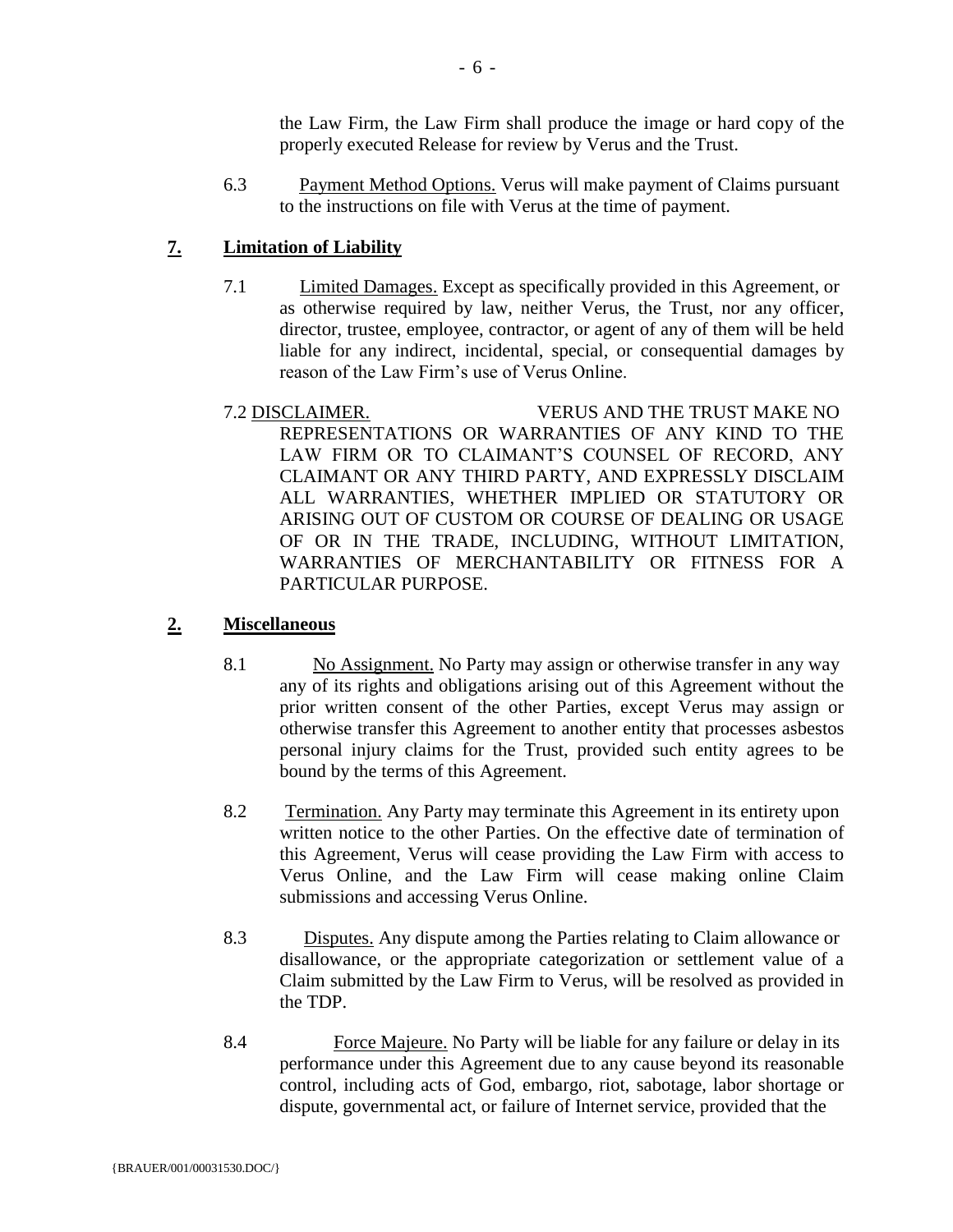the Law Firm, the Law Firm shall produce the image or hard copy of the properly executed Release for review by Verus and the Trust.

6.3 Payment Method Options. Verus will make payment of Claims pursuant to the instructions on file with Verus at the time of payment.

# **7. Limitation of Liability**

- 7.1 Limited Damages. Except as specifically provided in this Agreement, or as otherwise required by law, neither Verus, the Trust, nor any officer, director, trustee, employee, contractor, or agent of any of them will be held liable for any indirect, incidental, special, or consequential damages by reason of the Law Firm's use of Verus Online.
- 7.2 DISCLAIMER. VERUS AND THE TRUST MAKE NO REPRESENTATIONS OR WARRANTIES OF ANY KIND TO THE LAW FIRM OR TO CLAIMANT'S COUNSEL OF RECORD, ANY CLAIMANT OR ANY THIRD PARTY, AND EXPRESSLY DISCLAIM ALL WARRANTIES, WHETHER IMPLIED OR STATUTORY OR ARISING OUT OF CUSTOM OR COURSE OF DEALING OR USAGE OF OR IN THE TRADE, INCLUDING, WITHOUT LIMITATION, WARRANTIES OF MERCHANTABILITY OR FITNESS FOR A PARTICULAR PURPOSE.

## **2. Miscellaneous**

- 8.1 No Assignment. No Party may assign or otherwise transfer in any way any of its rights and obligations arising out of this Agreement without the prior written consent of the other Parties, except Verus may assign or otherwise transfer this Agreement to another entity that processes asbestos personal injury claims for the Trust, provided such entity agrees to be bound by the terms of this Agreement.
- 8.2 Termination. Any Party may terminate this Agreement in its entirety upon written notice to the other Parties. On the effective date of termination of this Agreement, Verus will cease providing the Law Firm with access to Verus Online, and the Law Firm will cease making online Claim submissions and accessing Verus Online.
- 8.3 Disputes. Any dispute among the Parties relating to Claim allowance or disallowance, or the appropriate categorization or settlement value of a Claim submitted by the Law Firm to Verus, will be resolved as provided in the TDP.
- 8.4 Force Majeure. No Party will be liable for any failure or delay in its performance under this Agreement due to any cause beyond its reasonable control, including acts of God, embargo, riot, sabotage, labor shortage or dispute, governmental act, or failure of Internet service, provided that the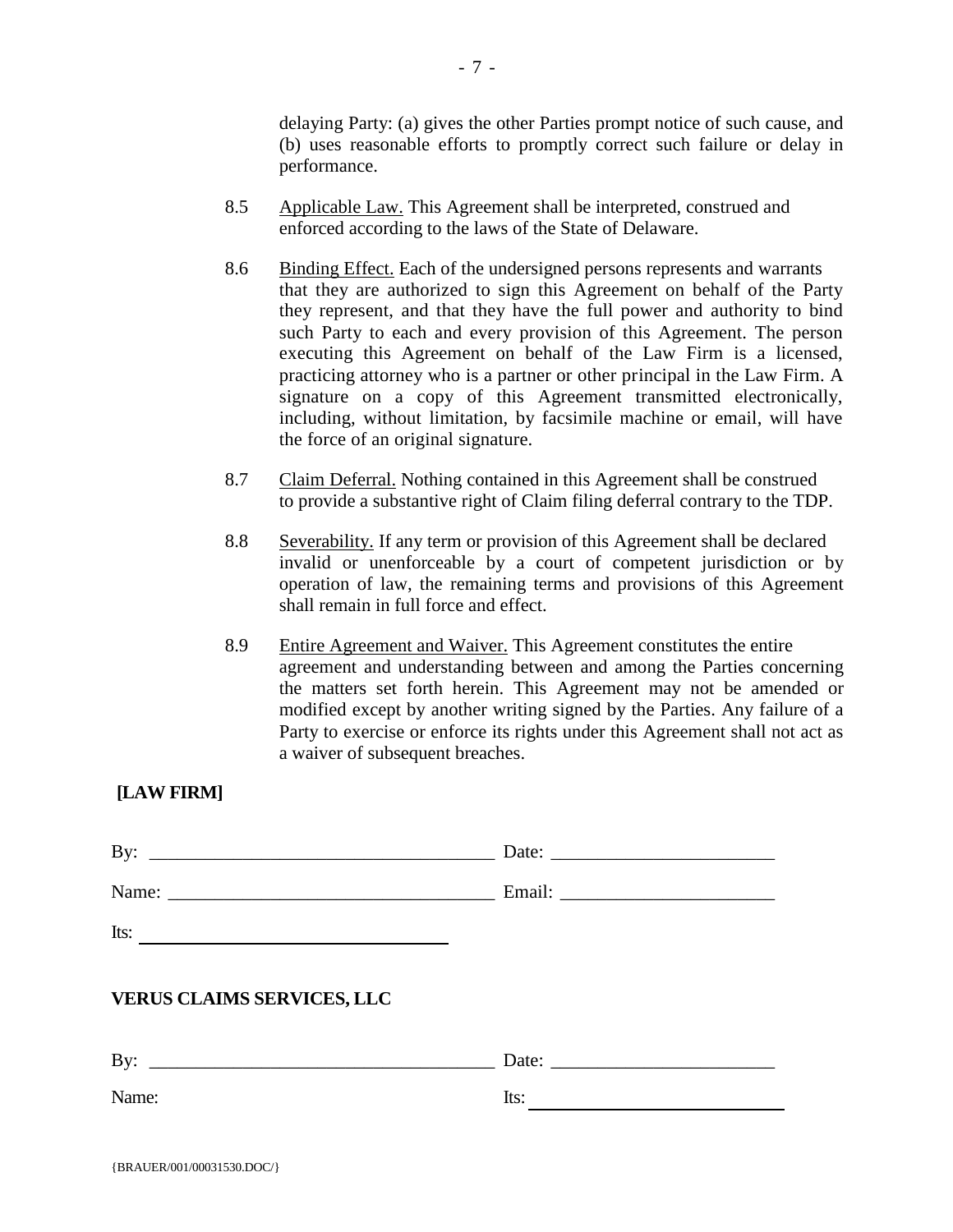delaying Party: (a) gives the other Parties prompt notice of such cause, and (b) uses reasonable efforts to promptly correct such failure or delay in performance.

- 8.5 Applicable Law. This Agreement shall be interpreted, construed and enforced according to the laws of the State of Delaware.
- 8.6 Binding Effect. Each of the undersigned persons represents and warrants that they are authorized to sign this Agreement on behalf of the Party they represent, and that they have the full power and authority to bind such Party to each and every provision of this Agreement. The person executing this Agreement on behalf of the Law Firm is a licensed, practicing attorney who is a partner or other principal in the Law Firm. A signature on a copy of this Agreement transmitted electronically, including, without limitation, by facsimile machine or email, will have the force of an original signature.
- 8.7 Claim Deferral. Nothing contained in this Agreement shall be construed to provide a substantive right of Claim filing deferral contrary to the TDP.
- 8.8 Severability. If any term or provision of this Agreement shall be declared invalid or unenforceable by a court of competent jurisdiction or by operation of law, the remaining terms and provisions of this Agreement shall remain in full force and effect.
- 8.9 Entire Agreement and Waiver. This Agreement constitutes the entire agreement and understanding between and among the Parties concerning the matters set forth herein. This Agreement may not be amended or modified except by another writing signed by the Parties. Any failure of a Party to exercise or enforce its rights under this Agreement shall not act as a waiver of subsequent breaches.

## **[LAW FIRM]**

| Its: |
|------|
|      |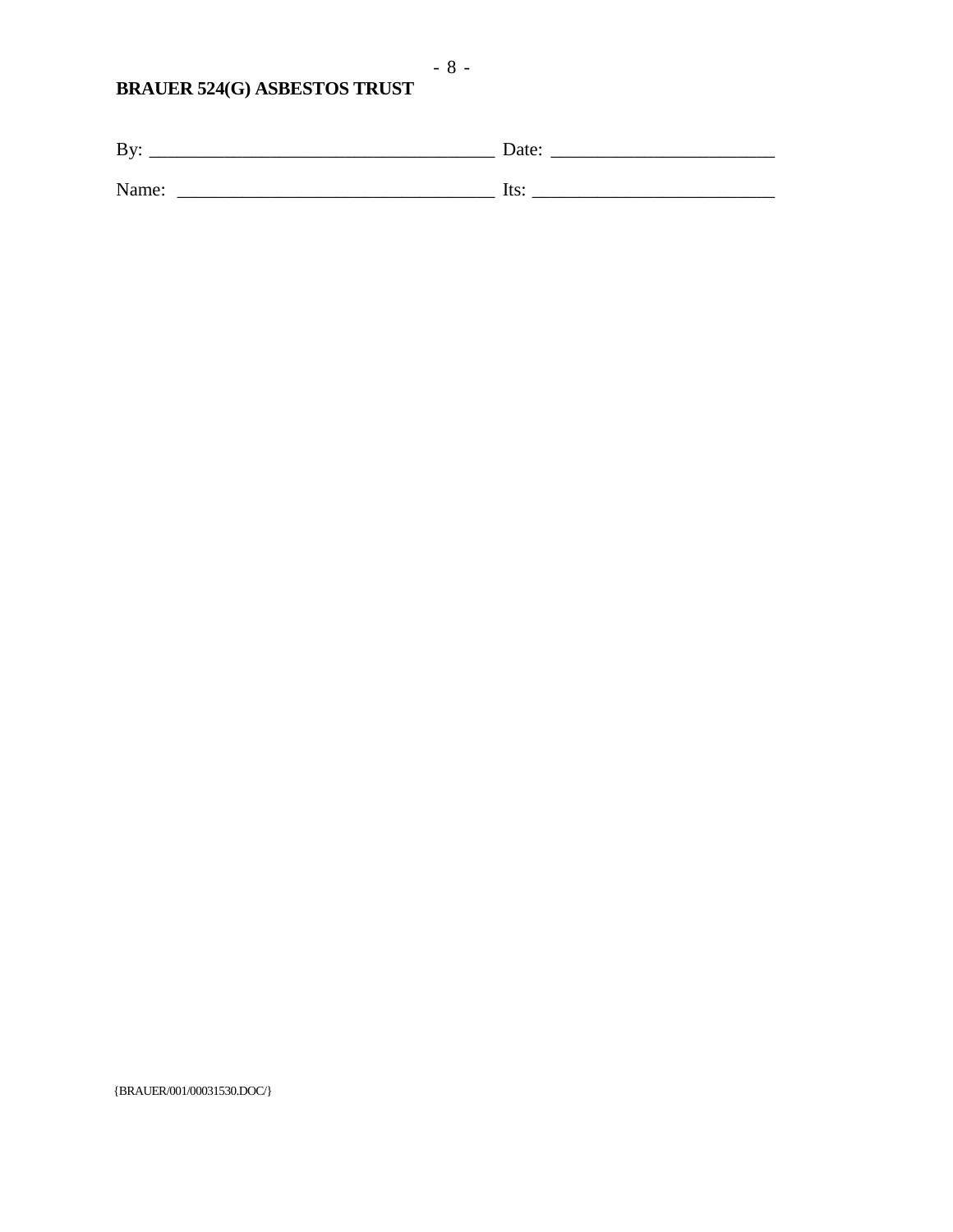# **BRAUER 524(G) ASBESTOS TRUST**

| By:   | Date: |  |
|-------|-------|--|
|       |       |  |
| Name: | lts:  |  |

 $\{{\rm BRAUER/001/00031530.DOC/\}}$